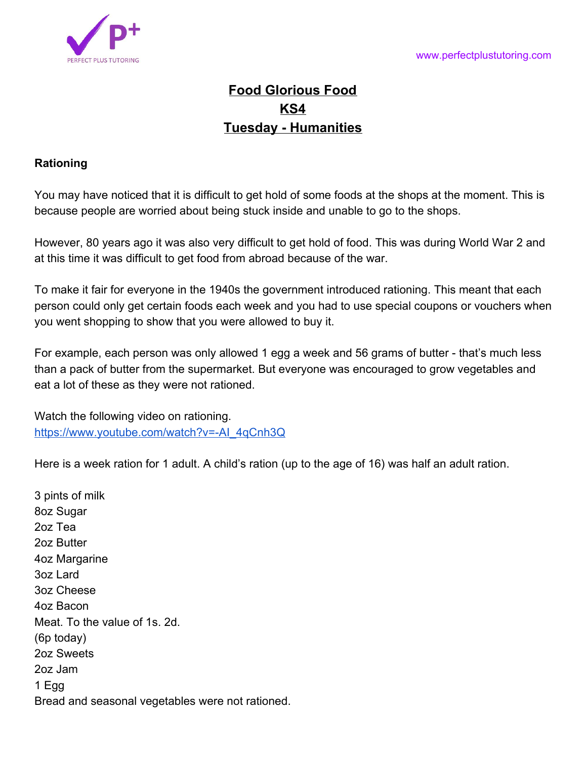

## **Food Glorious Food KS4 Tuesday - Humanities**

## **Rationing**

You may have noticed that it is difficult to get hold of some foods at the shops at the moment. This is because people are worried about being stuck inside and unable to go to the shops.

However, 80 years ago it was also very difficult to get hold of food. This was during World War 2 and at this time it was difficult to get food from abroad because of the war.

To make it fair for everyone in the 1940s the government introduced rationing. This meant that each person could only get certain foods each week and you had to use special coupons or vouchers when you went shopping to show that you were allowed to buy it.

For example, each person was only allowed 1 egg a week and 56 grams of butter - that's much less than a pack of butter from the supermarket. But everyone was encouraged to grow vegetables and eat a lot of these as they were not rationed.

Watch the following video on rationing. [https://www.youtube.com/watch?v=-AI\\_4qCnh3Q](https://www.youtube.com/watch?v=-AI_4qCnh3Q)

Here is a week ration for 1 adult. A child's ration (up to the age of 16) was half an adult ration.

3 pints of milk 8oz Sugar 2oz Tea 2oz Butter 4oz Margarine 3oz Lard 3oz Cheese 4oz Bacon Meat. To the value of 1s. 2d. (6p today) 2oz Sweets 2oz Jam 1 Egg Bread and seasonal vegetables were not rationed.